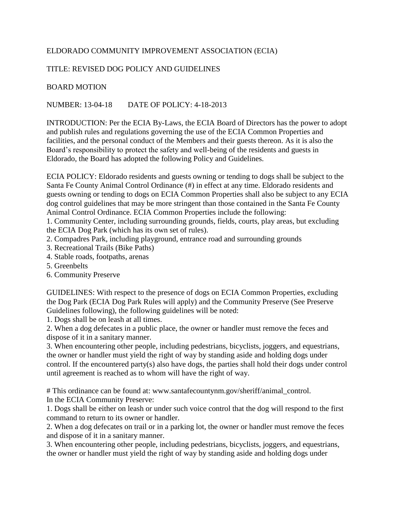## ELDORADO COMMUNITY IMPROVEMENT ASSOCIATION (ECIA)

## TITLE: REVISED DOG POLICY AND GUIDELINES

## BOARD MOTION

NUMBER: 13-04-18 DATE OF POLICY: 4-18-2013

INTRODUCTION: Per the ECIA By-Laws, the ECIA Board of Directors has the power to adopt and publish rules and regulations governing the use of the ECIA Common Properties and facilities, and the personal conduct of the Members and their guests thereon. As it is also the Board's responsibility to protect the safety and well-being of the residents and guests in Eldorado, the Board has adopted the following Policy and Guidelines.

ECIA POLICY: Eldorado residents and guests owning or tending to dogs shall be subject to the Santa Fe County Animal Control Ordinance (#) in effect at any time. Eldorado residents and guests owning or tending to dogs on ECIA Common Properties shall also be subject to any ECIA dog control guidelines that may be more stringent than those contained in the Santa Fe County Animal Control Ordinance. ECIA Common Properties include the following:

1. Community Center, including surrounding grounds, fields, courts, play areas, but excluding the ECIA Dog Park (which has its own set of rules).

- 2. Compadres Park, including playground, entrance road and surrounding grounds
- 3. Recreational Trails (Bike Paths)
- 4. Stable roads, footpaths, arenas
- 5. Greenbelts
- 6. Community Preserve

GUIDELINES: With respect to the presence of dogs on ECIA Common Properties, excluding the Dog Park (ECIA Dog Park Rules will apply) and the Community Preserve (See Preserve Guidelines following), the following guidelines will be noted:

1. Dogs shall be on leash at all times.

2. When a dog defecates in a public place, the owner or handler must remove the feces and dispose of it in a sanitary manner.

3. When encountering other people, including pedestrians, bicyclists, joggers, and equestrians, the owner or handler must yield the right of way by standing aside and holding dogs under control. If the encountered party(s) also have dogs, the parties shall hold their dogs under control until agreement is reached as to whom will have the right of way.

# This ordinance can be found at: www.santafecountynm.gov/sheriff/animal\_control. In the ECIA Community Preserve:

1. Dogs shall be either on leash or under such voice control that the dog will respond to the first command to return to its owner or handler.

2. When a dog defecates on trail or in a parking lot, the owner or handler must remove the feces and dispose of it in a sanitary manner.

3. When encountering other people, including pedestrians, bicyclists, joggers, and equestrians, the owner or handler must yield the right of way by standing aside and holding dogs under